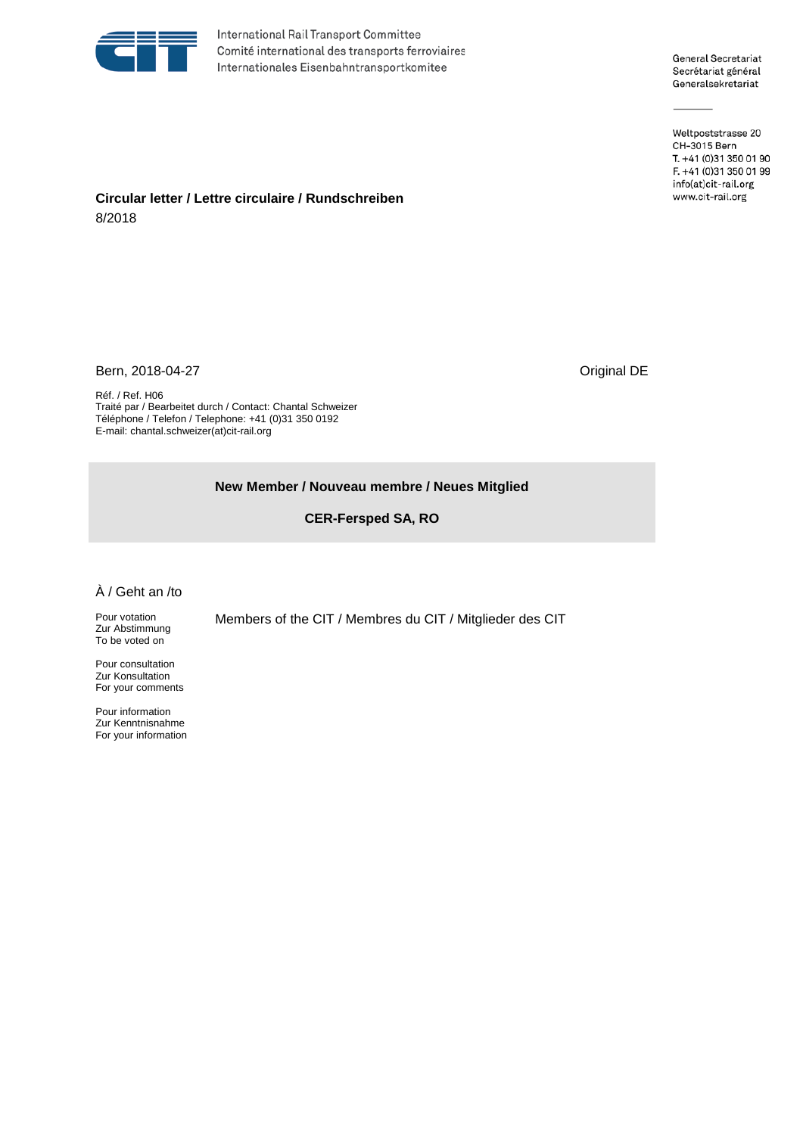

International Rail Transport Committee Comité international des transports ferroviaires Internationales Eisenbahntransportkomitee

General Secretariat Secrétariat général Generalsekretariat

Weltpoststrasse 20 CH-3015 Bern T. +41 (0)31 350 01 90 F. +41 (0)31 350 01 99 info(at)cit-rail.org www.cit-rail.org

## **Circular letter / Lettre circulaire / Rundschreiben** 8/2018

Bern, 2018-04-27 Channel Detection of the US and Security Assembly Detection of the US and Detection of the US and Detection of the US and Detection of the US and Detection of the US and Detection of the US and Detection o

Réf. / Ref. H06 Traité par / Bearbeitet durch / Contact: Chantal Schweizer Téléphone / Telefon / Telephone: +41 (0)31 350 0192 E-mail: chantal.schweizer(at)cit-rail.org

## **New Member / Nouveau membre / Neues Mitglied**

**CER-Fersped SA, RO**

## À / Geht an /to

Pour votation Zur Abstimmung To be voted on

Pour consultation Zur Konsultation For your comments

Pour information Zur Kenntnisnahme For your information Members of the CIT / Membres du CIT / Mitglieder des CIT